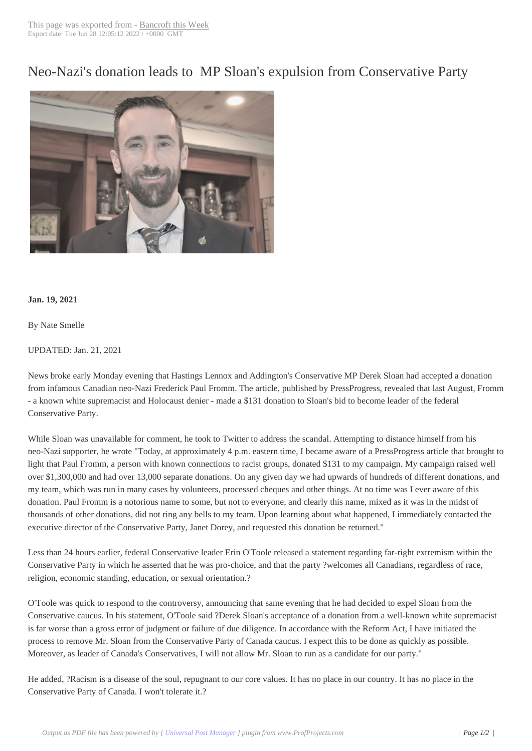Neo-Nazi's donatio[n leads to M](http://www.bancroftthisweek.com/?p=11222)P Sloan's expulsion from Conservative Party



## **Jan. 19, 2021**

By Nate Smelle

## UPDATED: Jan. 21, 2021

News broke early Monday evening that Hastings Lennox and Addington's Conservative MP Derek Sloan had accepted a donation from infamous Canadian neo-Nazi Frederick Paul Fromm. The article, published by PressProgress, revealed that last August, Fromm - a known white supremacist and Holocaust denier - made a \$131 donation to Sloan's bid to become leader of the federal Conservative Party.

While Sloan was unavailable for comment, he took to Twitter to address the scandal. Attempting to distance himself from his neo-Nazi supporter, he wrote "Today, at approximately 4 p.m. eastern time, I became aware of a PressProgress article that brought to light that Paul Fromm, a person with known connections to racist groups, donated \$131 to my campaign. My campaign raised well over \$1,300,000 and had over 13,000 separate donations. On any given day we had upwards of hundreds of different donations, and my team, which was run in many cases by volunteers, processed cheques and other things. At no time was I ever aware of this donation. Paul Fromm is a notorious name to some, but not to everyone, and clearly this name, mixed as it was in the midst of thousands of other donations, did not ring any bells to my team. Upon learning about what happened, I immediately contacted the executive director of the Conservative Party, Janet Dorey, and requested this donation be returned."

Less than 24 hours earlier, federal Conservative leader Erin O'Toole released a statement regarding far-right extremism within the Conservative Party in which he asserted that he was pro-choice, and that the party ?welcomes all Canadians, regardless of race, religion, economic standing, education, or sexual orientation.?

O'Toole was quick to respond to the controversy, announcing that same evening that he had decided to expel Sloan from the Conservative caucus. In his statement, O'Toole said ?Derek Sloan's acceptance of a donation from a well-known white supremacist is far worse than a gross error of judgment or failure of due diligence. In accordance with the Reform Act, I have initiated the process to remove Mr. Sloan from the Conservative Party of Canada caucus. I expect this to be done as quickly as possible. Moreover, as leader of Canada's Conservatives, I will not allow Mr. Sloan to run as a candidate for our party."

He added, ?Racism is a disease of the soul, repugnant to our core values. It has no place in our country. It has no place in the Conservative Party of Canada. I won't tolerate it.?